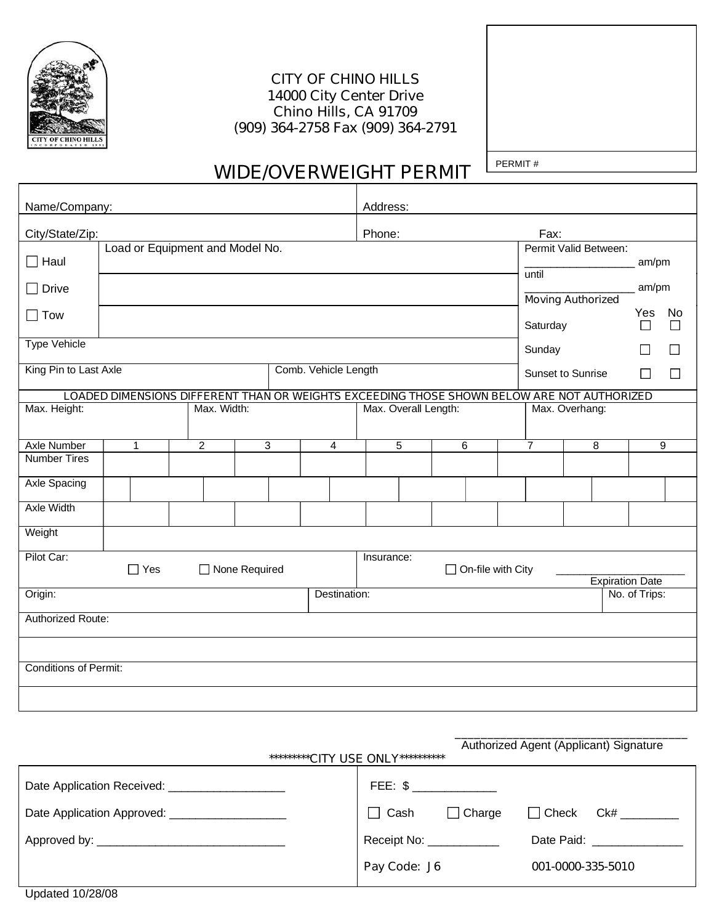

## **CITY OF CHINO HILLS 14000 City Center Drive Chino Hills, CA 91709 (909) 364-2758 Fax (909) 364-2791**



## **WIDE/OVERWEIGHT PERMIT**

| Name/Company:                |                                                                                            |                |                   |                      | Address:             |                       |          |                          |                   |                         |               |                          |        |  |
|------------------------------|--------------------------------------------------------------------------------------------|----------------|-------------------|----------------------|----------------------|-----------------------|----------|--------------------------|-------------------|-------------------------|---------------|--------------------------|--------|--|
| City/State/Zip:              |                                                                                            |                |                   |                      | Phone:<br>Fax:       |                       |          |                          |                   |                         |               |                          |        |  |
| $\Box$ Haul                  | Load or Equipment and Model No.                                                            |                |                   |                      |                      | Permit Valid Between: |          |                          | am/pm             |                         |               |                          |        |  |
|                              |                                                                                            |                |                   |                      |                      | until                 |          |                          |                   |                         |               |                          |        |  |
| $\Box$ Drive                 |                                                                                            |                |                   |                      |                      |                       |          | <b>Moving Authorized</b> |                   |                         | am/pm         |                          |        |  |
| $\sqcap$ Tow                 |                                                                                            |                |                   |                      |                      |                       | Saturday |                          |                   | Yes<br>$\Box$           | No<br>$\Box$  |                          |        |  |
| <b>Type Vehicle</b>          | Sunday                                                                                     |                |                   |                      |                      |                       |          |                          |                   | $\Box$                  |               |                          |        |  |
| King Pin to Last Axle        |                                                                                            |                |                   | Comb. Vehicle Length |                      |                       |          |                          | Sunset to Sunrise |                         |               | $\overline{\phantom{a}}$ | $\Box$ |  |
|                              | LOADED DIMENSIONS DIFFERENT THAN OR WEIGHTS EXCEEDING THOSE SHOWN BELOW ARE NOT AUTHORIZED |                |                   |                      |                      |                       |          |                          |                   |                         |               |                          |        |  |
| Max. Height:<br>Max. Width:  |                                                                                            |                |                   |                      | Max. Overall Length: |                       |          |                          | Max. Overhang:    |                         |               |                          |        |  |
| <b>Axle Number</b>           | $\mathbf{1}$                                                                               | $\overline{2}$ | 3                 | 4                    |                      | 5                     | 6        |                          | $\overline{7}$    | $\overline{\mathbf{8}}$ |               |                          | 9      |  |
| <b>Number Tires</b>          |                                                                                            |                |                   |                      |                      |                       |          |                          |                   |                         |               |                          |        |  |
| <b>Axle Spacing</b>          |                                                                                            |                |                   |                      |                      |                       |          |                          |                   |                         |               |                          |        |  |
| <b>Axle Width</b>            |                                                                                            |                |                   |                      |                      |                       |          |                          |                   |                         |               |                          |        |  |
| Weight                       |                                                                                            |                |                   |                      |                      |                       |          |                          |                   |                         |               |                          |        |  |
| Pilot Car:                   |                                                                                            |                |                   |                      | Insurance:           |                       |          |                          |                   |                         |               |                          |        |  |
|                              | $\Box$ Yes                                                                                 |                | On-file with City |                      |                      |                       |          |                          |                   |                         |               |                          |        |  |
|                              |                                                                                            |                |                   |                      |                      |                       |          |                          |                   | <b>Expiration Date</b>  |               |                          |        |  |
| Origin:                      |                                                                                            |                |                   |                      | Destination:         |                       |          |                          |                   |                         | No. of Trips: |                          |        |  |
| Authorized Route:            |                                                                                            |                |                   |                      |                      |                       |          |                          |                   |                         |               |                          |        |  |
|                              |                                                                                            |                |                   |                      |                      |                       |          |                          |                   |                         |               |                          |        |  |
| <b>Conditions of Permit:</b> |                                                                                            |                |                   |                      |                      |                       |          |                          |                   |                         |               |                          |        |  |
|                              |                                                                                            |                |                   |                      |                      |                       |          |                          |                   |                         |               |                          |        |  |
|                              |                                                                                            |                |                   |                      |                      |                       |          |                          |                   |                         |               |                          |        |  |

Authorized Agent (Applicant) Signature

 **\_\_\_\_\_\_\_\_\_\_\_\_\_\_\_\_\_\_\_\_\_\_\_\_\_\_\_\_\_\_\_\_\_\_\_\_** 

| **********CITY USE ONLY**********                          |                              |                            |  |  |  |
|------------------------------------------------------------|------------------------------|----------------------------|--|--|--|
| Date Application Received: _____________________           | FEE: \$ ______________       |                            |  |  |  |
| Date Application Approved: 2000 Mate Application Approved: | $\Box$ Cash<br>$\Box$ Charge | $\Box$ Check Ck#           |  |  |  |
|                                                            | Receipt No: ____________     | Date Paid: _______________ |  |  |  |
|                                                            | Pay Code: J6                 | 001-0000-335-5010          |  |  |  |
|                                                            |                              |                            |  |  |  |